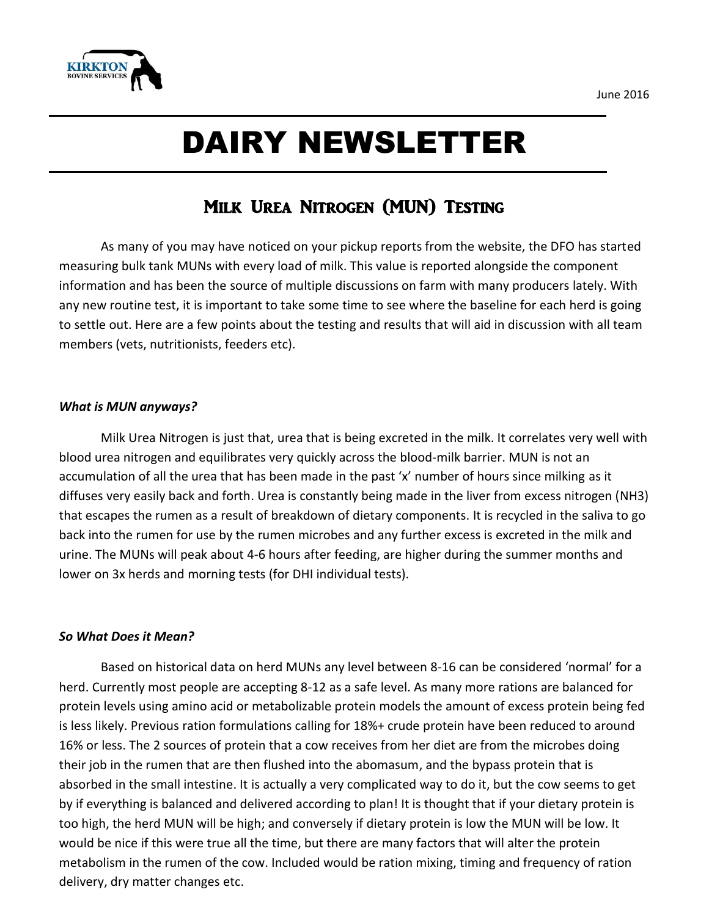



# DAIRY NEWSLETTER

## Milk Urea Nitrogen (MUN) Testing

As many of you may have noticed on your pickup reports from the website, the DFO has started measuring bulk tank MUNs with every load of milk. This value is reported alongside the component information and has been the source of multiple discussions on farm with many producers lately. With any new routine test, it is important to take some time to see where the baseline for each herd is going to settle out. Here are a few points about the testing and results that will aid in discussion with all team members (vets, nutritionists, feeders etc).

#### *What is MUN anyways?*

Milk Urea Nitrogen is just that, urea that is being excreted in the milk. It correlates very well with blood urea nitrogen and equilibrates very quickly across the blood-milk barrier. MUN is not an accumulation of all the urea that has been made in the past 'x' number of hours since milking as it diffuses very easily back and forth. Urea is constantly being made in the liver from excess nitrogen (NH3) that escapes the rumen as a result of breakdown of dietary components. It is recycled in the saliva to go back into the rumen for use by the rumen microbes and any further excess is excreted in the milk and urine. The MUNs will peak about 4-6 hours after feeding, are higher during the summer months and lower on 3x herds and morning tests (for DHI individual tests).

#### *So What Does it Mean?*

Based on historical data on herd MUNs any level between 8-16 can be considered 'normal' for a herd. Currently most people are accepting 8-12 as a safe level. As many more rations are balanced for protein levels using amino acid or metabolizable protein models the amount of excess protein being fed is less likely. Previous ration formulations calling for 18%+ crude protein have been reduced to around 16% or less. The 2 sources of protein that a cow receives from her diet are from the microbes doing their job in the rumen that are then flushed into the abomasum, and the bypass protein that is absorbed in the small intestine. It is actually a very complicated way to do it, but the cow seems to get by if everything is balanced and delivered according to plan! It is thought that if your dietary protein is too high, the herd MUN will be high; and conversely if dietary protein is low the MUN will be low. It would be nice if this were true all the time, but there are many factors that will alter the protein metabolism in the rumen of the cow. Included would be ration mixing, timing and frequency of ration delivery, dry matter changes etc.